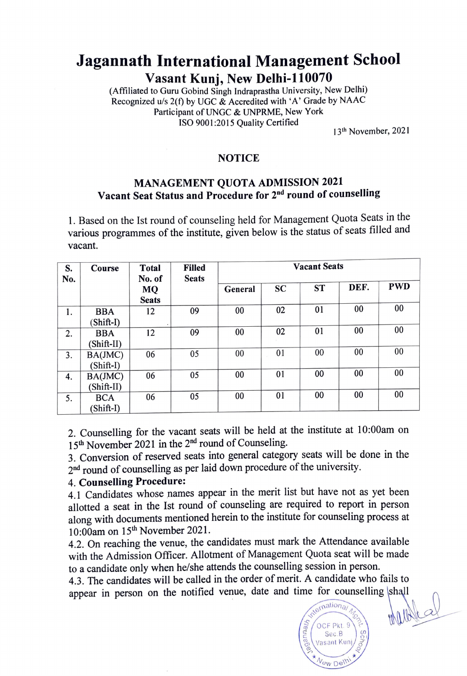## Jagannath International Management School Vasant Kunj, New Delhi-110070

(Affiliated to Guru Gobind Singh Indraprastha University, New Delhi) Recognized u/s  $2(f)$  by UGC & Accredited with 'A' Grade by NAAC Participant of UNGC & UNPRME, New York ISO 9001:2015 Quality Certified

13th November, 2021

## NOTICE

## MANAGEMENT QUOTA ADMISSION 2021 Vacant Seat Status and Procedure for 2<sup>nd</sup> round of counselling

1. Based on the Ist round of counseling held for Management Quota Seats in the various programmes of the institute, given below is the status of seats filled and vacant.

| S.<br>No. | Course                    | <b>Total</b><br>No. of | <b>Filled</b><br><b>Seats</b> | <b>Vacant Seats</b> |           |           |      |            |
|-----------|---------------------------|------------------------|-------------------------------|---------------------|-----------|-----------|------|------------|
|           |                           | MQ<br><b>Seats</b>     |                               | General             | <b>SC</b> | <b>ST</b> | DEF. | <b>PWD</b> |
| 1.        | <b>BBA</b><br>(Shift-I)   | 12                     | 09                            | 00                  | 02        | 01        | 00   | 00         |
| 2.        | <b>BBA</b><br>(Shift-II)  | 12                     | 09                            | 00                  | 02        | 01        | 00   | 00         |
| 3.        | BA(JMC)<br>$(Shift-I)$    | 06                     | 05                            | 00                  | 01        | 00        | 00   | 00         |
| 4.        | BA(JMC)<br>(Shift-II)     | 06                     | 05                            | 00                  | 01        | 00        | 00   | 00         |
| 5.        | <b>BCA</b><br>$(Shift-I)$ | 06                     | 05                            | 00                  | 01        | 00        | 00   | 00         |

2. Counselling for the vacant seats will be held at the institute at 10:00am on 15<sup>th</sup> November 2021 in the 2<sup>nd</sup> round of Counseling.

3. Conversion of reserved seats into general category seats will be done in the 2<sup>nd</sup> round of counselling as per laid down procedure of the university.

## 4. Counselling Procedure:

4.1 Candidates whose names appear in the merit list but have not as yet been allotted a seat in the Ist round of counseling are required to report in person along with documents mentioned herein to the institute for counseling process at 10:00am on 15<sup>th</sup> November 2021.

4.2. On reaching the venue, the candidates must mark the Attendance available with the Admission Officer. Allotment of Management Quota seat will be made to a candidate only when he/she attends the counselling session in person.

4.3. The candidates will be called in the order of merit. A candidate who fails to appear in person on the notified venue, date and time for counselling shall



Wardes